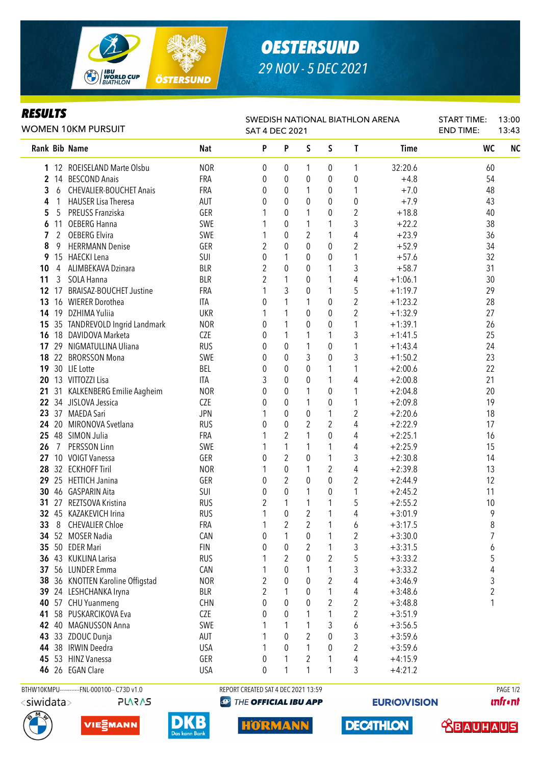

# *OESTERSUND 29 NOV - 5 DEC 2021*

### *RESULTS*

| RESULTS<br>WOMEN 10KM PURSUIT |    |                                |            | SWEDISH NATIONAL BIATHLON ARENA<br><b>SAT 4 DEC 2021</b> |                |   |                  |                         |             | <b>START TIME:</b><br><b>END TIME:</b> | 13:00<br>13:43 |
|-------------------------------|----|--------------------------------|------------|----------------------------------------------------------|----------------|---|------------------|-------------------------|-------------|----------------------------------------|----------------|
|                               |    | Rank Bib Name                  | Nat        | P                                                        | P              | S | S                | T                       | <b>Time</b> | WC                                     | <b>NC</b>      |
|                               |    | 1 12 ROEISELAND Marte Olsbu    | <b>NOR</b> | 0                                                        | 0              | 1 | 0                | 1                       | 32:20.6     | 60                                     |                |
| $\mathbf{2}$                  |    | 14 BESCOND Anais               | <b>FRA</b> | 0                                                        | 0              | 0 | 0                | 0                       | $+4.8$      | 54                                     |                |
| 3                             | 6  | <b>CHEVALIER-BOUCHET Anais</b> | FRA        | 0                                                        | 0              | 1 | 0                | 1                       | $+7.0$      | 48                                     |                |
| 4                             |    | <b>HAUSER Lisa Theresa</b>     | AUT        | 0                                                        | 0              | 0 | 0                | $\boldsymbol{0}$        | $+7.9$      | 43                                     |                |
| 5                             | 5  | PREUSS Franziska               | GER        |                                                          | 0              | 1 | 0                | 2                       | $+18.8$     | 40                                     |                |
| 6                             | 11 | <b>OEBERG Hanna</b>            | SWE        |                                                          | 0              | 1 | 1                | 3                       | $+22.2$     | 38                                     |                |
| 7                             | 2  | <b>OEBERG Elvira</b>           | SWE        | 1                                                        | 0              | 2 | 1                | 4                       | $+23.9$     | 36                                     |                |
| 8                             | 9  | <b>HERRMANN Denise</b>         | GER        | 2                                                        | 0              | 0 | 0                | 2                       | $+52.9$     | 34                                     |                |
| 9                             |    | 15 HAECKI Lena                 | SUI        | 0                                                        | 1              | 0 | 0                | 1                       | $+57.6$     | 32                                     |                |
| 10                            | 4  | ALIMBEKAVA Dzinara             | <b>BLR</b> | $\overline{2}$                                           | 0              | 0 | 1                | 3                       | $+58.7$     | 31                                     |                |
| 11                            | 3  | SOLA Hanna                     | <b>BLR</b> | 2                                                        | 1              | 0 | 1                | 4                       | $+1:06.1$   | 30                                     |                |
| 12                            | 17 | <b>BRAISAZ-BOUCHET Justine</b> | FRA        |                                                          | 3              | 0 | 1                | 5                       | $+1:19.7$   | 29                                     |                |
| 13                            |    | 16 WIERER Dorothea             | ITA        | 0                                                        | 1              | 1 | 0                | $\overline{\mathbf{c}}$ | $+1:23.2$   | 28                                     |                |
| 14                            |    | 19 DZHIMA Yuliia               | <b>UKR</b> |                                                          | 1              | 0 | 0                | 2                       | $+1:32.9$   | 27                                     |                |
| 15                            |    | 35 TANDREVOLD Ingrid Landmark  | <b>NOR</b> | 0                                                        | 1              | 0 | 0                | 1                       | $+1:39.1$   | 26                                     |                |
| 16                            | 18 | DAVIDOVA Marketa               | <b>CZE</b> | 0                                                        | 1              | 1 | 1                | 3                       | $+1:41.5$   | 25                                     |                |
| 17                            | 29 | NIGMATULLINA Uliana            | <b>RUS</b> | 0                                                        | $\mathbf 0$    | 1 | 0                | 1                       | $+1:43.4$   | 24                                     |                |
| 18                            | 22 | <b>BRORSSON Mona</b>           | SWE        | 0                                                        | 0              | 3 | 0                | 3                       | $+1:50.2$   | 23                                     |                |
| 19                            |    | 30 LIE Lotte                   | BEL        | 0                                                        | 0              | 0 | 1                | 1                       | $+2:00.6$   | 22                                     |                |
| 20                            |    | 13 VITTOZZI Lisa               | <b>ITA</b> | 3                                                        | 0              | 0 | 1                | 4                       | $+2:00.8$   | 21                                     |                |
| 21                            |    | 31 KALKENBERG Emilie Aagheim   | <b>NOR</b> | 0                                                        | 0              | 1 | 0                | 1                       | $+2:04.8$   | 20                                     |                |
| 22                            |    | 34 JISLOVA Jessica             | <b>CZE</b> | 0                                                        | 0              | 1 | 0                | 1                       | $+2:09.8$   | 19                                     |                |
| 23                            |    | 37 MAEDA Sari                  | <b>JPN</b> |                                                          | 0              | 0 | 1                | 2                       | $+2:20.6$   | 18                                     |                |
| 24                            |    | 20 MIRONOVA Svetlana           | <b>RUS</b> | 0                                                        | 0              | 2 | 2                | 4                       | $+2:22.9$   | 17                                     |                |
| 25                            |    | 48 SIMON Julia                 | <b>FRA</b> |                                                          | $\overline{2}$ | 1 | 0                | 4                       | $+2:25.1$   | 16                                     |                |
| 26                            | 7  | PERSSON Linn                   | SWE        |                                                          | 1              | 1 | 1                | 4                       | $+2:25.9$   | 15                                     |                |
| 27                            |    | 10 VOIGT Vanessa               | GER        | 0                                                        | 2              | 0 | 1                | 3                       | $+2:30.8$   | 14                                     |                |
| 28                            |    | 32 ECKHOFF Tiril               | <b>NOR</b> | 1                                                        | 0              | 1 | 2                | 4                       | $+2:39.8$   | 13                                     |                |
| 29                            |    | 25 HETTICH Janina              | GER        | 0                                                        | 2              | 0 | $\mathbf 0$      | 2                       | $+2:44.9$   | 12                                     |                |
| 30                            |    | 46 GASPARIN Aita               | SUI        | 0                                                        | 0              | 1 | 0                | 1                       | $+2:45.2$   | 11                                     |                |
| 31                            | 27 | REZTSOVA Kristina              | <b>RUS</b> | 2                                                        | 1              | 1 | 1                | 5                       | $+2:55.2$   | 10                                     |                |
|                               |    | 32 45 KAZAKEVICH Irina         | <b>RUS</b> | 1                                                        | 0              | 2 | 1                | 4                       | $+3:01.9$   | 9                                      |                |
| 33                            |    | 8 CHEVALIER Chloe              | FRA        | 1                                                        | 2              | 2 | 1                | 6                       | $+3:17.5$   | 8                                      |                |
|                               |    | 34 52 MOSER Nadia              | CAN        | 0                                                        | 1              | 0 | 1                | 2                       | $+3:30.0$   | 7                                      |                |
| 35                            |    | 50 EDER Mari                   | <b>FIN</b> | 0                                                        | 0              | 2 | 1                | 3                       | $+3:31.5$   | 6                                      |                |
| 36                            |    | 43 KUKLINA Larisa              | <b>RUS</b> |                                                          | 2              | 0 | $\boldsymbol{2}$ | 5                       | $+3:33.2$   | 5                                      |                |
| 37                            |    | 56 LUNDER Emma                 | CAN        |                                                          | 0              | 1 | 1                | 3                       | $+3:33.2$   | 4                                      |                |
| 38                            |    | 36 KNOTTEN Karoline Offigstad  | <b>NOR</b> | 2                                                        | 0              | 0 | $\boldsymbol{2}$ | 4                       | $+3:46.9$   | 3                                      |                |
| 39                            |    | 24 LESHCHANKA Iryna            | <b>BLR</b> | 2                                                        | 1              | 0 | 1                | 4                       | $+3:48.6$   | 2                                      |                |
| 40                            |    | 57 CHU Yuanmeng                | <b>CHN</b> | 0                                                        | 0              | 0 | $\overline{2}$   | 2                       | $+3:48.8$   | 1                                      |                |
| 41                            |    | 58 PUSKARCIKOVA Eva            | <b>CZE</b> | 0                                                        | 0              | 1 | 1                | 2                       | $+3:51.9$   |                                        |                |
| 42                            |    | 40 MAGNUSSON Anna              | SWE        |                                                          | 1              | 1 | 3                |                         |             |                                        |                |
|                               |    | 33 ZDOUC Dunja                 | AUT        | 1                                                        | 0              | 2 | 0                | 6<br>3                  | $+3:56.5$   |                                        |                |
| 43                            |    |                                |            | 1                                                        |                | 1 |                  |                         | $+3:59.6$   |                                        |                |
| 44                            |    | 38 IRWIN Deedra                | <b>USA</b> |                                                          | 0              |   | $\pmb{0}$        | 2                       | $+3:59.6$   |                                        |                |
|                               |    | 45 53 HINZ Vanessa             | GER        | 0                                                        |                | 2 | 1                | 4                       | $+4:15.9$   |                                        |                |
|                               |    | 46 26 EGAN Clare               | <b>USA</b> | 0                                                        |                |   |                  | 3                       | $+4:21.2$   |                                        |                |







BTHW10KMPU-----------FNL-000100-- C73D v1.0 REPORT CREATED SAT 4 DEC 2021 13:59 REPORT CREATED SAT 4 DEC 2021 13:59 **@ THE OFFICIAL IBU APP** 

**HORMANN** 

**EURIO)VISION** 

**DECATHLON** 

**unfront**